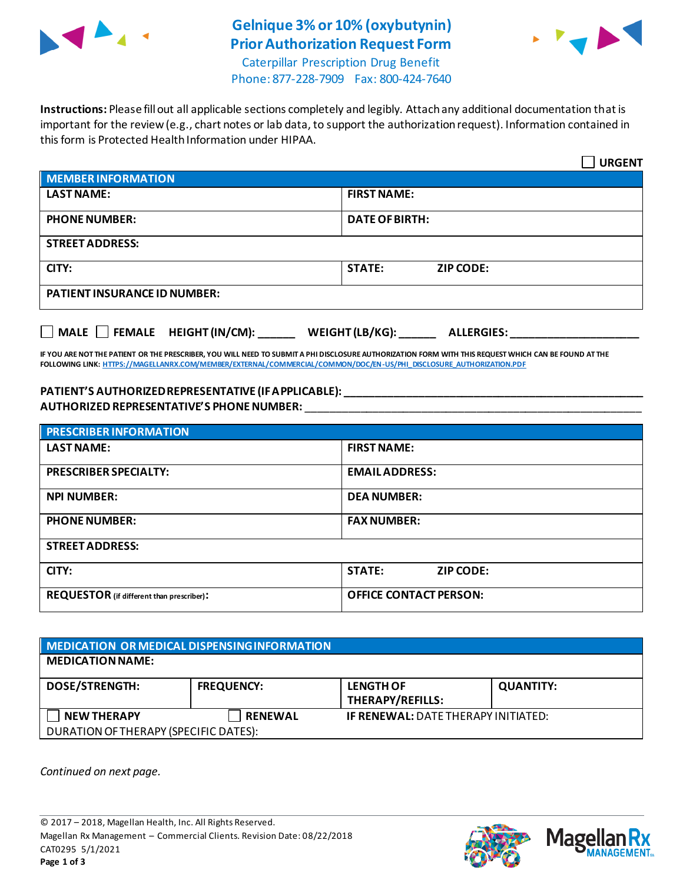

## **Gelnique 3% or 10% (oxybutynin) Prior Authorization Request Form**



Caterpillar Prescription Drug Benefit Phone: 877-228-7909 Fax: 800-424-7640

**Instructions:** Please fill out all applicable sections completely and legibly. Attach any additional documentation that is important for the review (e.g., chart notes or lab data, to support the authorization request). Information contained in this form is Protected Health Information under HIPAA.

|                                                                            | <b>URGENT</b>                     |  |  |
|----------------------------------------------------------------------------|-----------------------------------|--|--|
| <b>MEMBER INFORMATION</b>                                                  |                                   |  |  |
| <b>LAST NAME:</b>                                                          | <b>FIRST NAME:</b>                |  |  |
| <b>PHONE NUMBER:</b>                                                       | <b>DATE OF BIRTH:</b>             |  |  |
| <b>STREET ADDRESS:</b>                                                     |                                   |  |  |
| CITY:                                                                      | <b>STATE:</b><br><b>ZIP CODE:</b> |  |  |
| <b>PATIENT INSURANCE ID NUMBER:</b>                                        |                                   |  |  |
| MALE $\Box$ FEMALE HEIGHT (IN/CM):<br>WEIGHT (LB/KG):<br><b>ALLERGIES:</b> |                                   |  |  |

**IF YOU ARE NOT THE PATIENT OR THE PRESCRIBER, YOU WILL NEED TO SUBMIT A PHI DISCLOSURE AUTHORIZATION FORM WITH THIS REQUEST WHICH CAN BE FOUND AT THE FOLLOWING LINK[: HTTPS://MAGELLANRX.COM/MEMBER/EXTERNAL/COMMERCIAL/COMMON/DOC/EN-US/PHI\\_DISCLOSURE\\_AUTHORIZATION.PDF](https://magellanrx.com/member/external/commercial/common/doc/en-us/PHI_Disclosure_Authorization.pdf)**

## **PATIENT'S AUTHORIZED REPRESENTATIVE (IF APPLICABLE): \_\_\_\_\_\_\_\_\_\_\_\_\_\_\_\_\_\_\_\_\_\_\_\_\_\_\_\_\_\_\_\_\_\_\_\_\_\_\_\_\_\_\_\_\_\_\_\_\_ AUTHORIZED REPRESENTATIVE'S PHONE NUMBER:** \_\_\_\_\_\_\_\_\_\_\_\_\_\_\_\_\_\_\_\_\_\_\_\_\_\_\_\_\_\_\_\_\_\_\_\_\_\_\_\_\_\_\_\_\_\_\_\_\_\_\_\_\_\_\_

| <b>PRESCRIBER INFORMATION</b>             |                               |  |  |  |
|-------------------------------------------|-------------------------------|--|--|--|
| <b>LAST NAME:</b>                         | <b>FIRST NAME:</b>            |  |  |  |
| <b>PRESCRIBER SPECIALTY:</b>              | <b>EMAIL ADDRESS:</b>         |  |  |  |
| <b>NPI NUMBER:</b>                        | <b>DEA NUMBER:</b>            |  |  |  |
| <b>PHONE NUMBER:</b>                      | <b>FAX NUMBER:</b>            |  |  |  |
| <b>STREET ADDRESS:</b>                    |                               |  |  |  |
| CITY:                                     | <b>STATE:</b><br>ZIP CODE:    |  |  |  |
| REQUESTOR (if different than prescriber): | <b>OFFICE CONTACT PERSON:</b> |  |  |  |

| <b>MEDICATION OR MEDICAL DISPENSING INFORMATION</b> |                   |                                            |                  |  |  |
|-----------------------------------------------------|-------------------|--------------------------------------------|------------------|--|--|
| <b>MEDICATION NAME:</b>                             |                   |                                            |                  |  |  |
| <b>DOSE/STRENGTH:</b>                               | <b>FREQUENCY:</b> | <b>LENGTH OF</b><br>THERAPY/REFILLS:       | <b>QUANTITY:</b> |  |  |
| <b>NEW THERAPY</b>                                  | <b>RENEWAL</b>    | <b>IF RENEWAL: DATE THERAPY INITIATED:</b> |                  |  |  |
| DURATION OF THERAPY (SPECIFIC DATES):               |                   |                                            |                  |  |  |

*Continued on next page.*



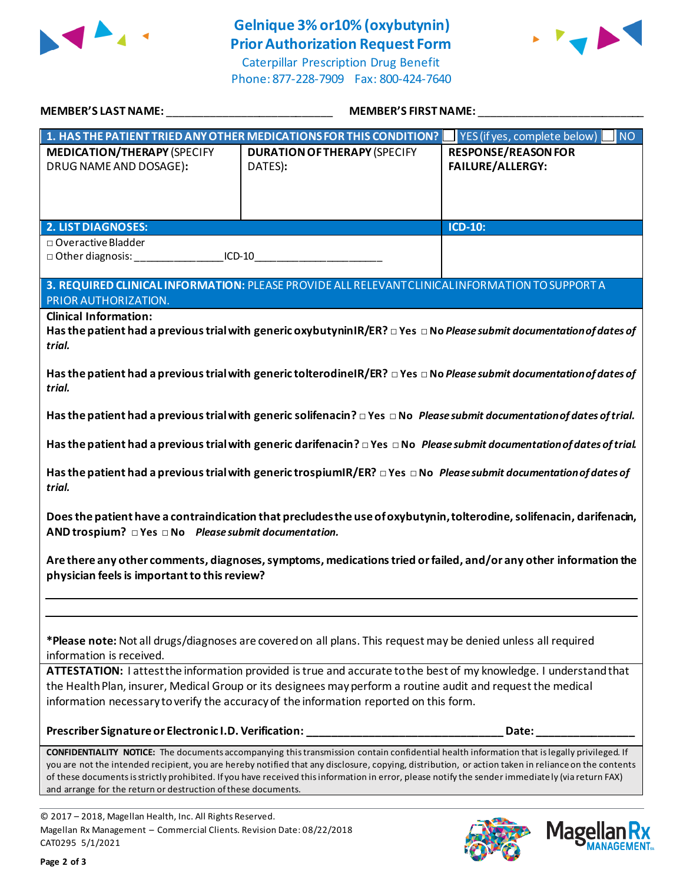

## **Gelnique 3% or10% (oxybutynin) Prior Authorization Request Form**

Caterpillar Prescription Drug Benefit Phone: 877-228-7909 Fax: 800-424-7640



| MEMBER'S LAST NAME: NAME AND A SERIES AND A SERIES OF STREET AND A SERIES OF STREET AND A SERIES OF STREET AND                                                                                                                                                                                                                                                                                                                                                                                                                 | MEMBER'S FIRST NAME:                                                                                                               |                                                               |  |  |
|--------------------------------------------------------------------------------------------------------------------------------------------------------------------------------------------------------------------------------------------------------------------------------------------------------------------------------------------------------------------------------------------------------------------------------------------------------------------------------------------------------------------------------|------------------------------------------------------------------------------------------------------------------------------------|---------------------------------------------------------------|--|--|
|                                                                                                                                                                                                                                                                                                                                                                                                                                                                                                                                | 1. HAS THE PATIENT TRIED ANY OTHER MEDICATIONS FOR THIS CONDITION?                                                                 | $\blacksquare$ YES (if yes, complete below) $\blacksquare$ NO |  |  |
| <b>MEDICATION/THERAPY (SPECIFY</b><br>DRUG NAME AND DOSAGE):                                                                                                                                                                                                                                                                                                                                                                                                                                                                   | <b>DURATION OF THERAPY (SPECIFY</b><br>DATES):                                                                                     | <b>RESPONSE/REASON FOR</b><br><b>FAILURE/ALLERGY:</b>         |  |  |
|                                                                                                                                                                                                                                                                                                                                                                                                                                                                                                                                |                                                                                                                                    |                                                               |  |  |
| <b>2. LIST DIAGNOSES:</b>                                                                                                                                                                                                                                                                                                                                                                                                                                                                                                      |                                                                                                                                    | <b>ICD-10:</b>                                                |  |  |
| □ Overactive Bladder<br>□ Other diagnosis: ___________________ICD-10___________________________________                                                                                                                                                                                                                                                                                                                                                                                                                        |                                                                                                                                    |                                                               |  |  |
|                                                                                                                                                                                                                                                                                                                                                                                                                                                                                                                                |                                                                                                                                    |                                                               |  |  |
| 3. REQUIRED CLINICAL INFORMATION: PLEASE PROVIDE ALL RELEVANT CLINICAL INFORMATION TO SUPPORT A<br>PRIOR AUTHORIZATION.                                                                                                                                                                                                                                                                                                                                                                                                        |                                                                                                                                    |                                                               |  |  |
| <b>Clinical Information:</b><br>Has the patient had a previous trial with generic oxybutyninIR/ER? $\Box$ Yes $\Box$ No Please submit documentation of dates of<br>trial.                                                                                                                                                                                                                                                                                                                                                      |                                                                                                                                    |                                                               |  |  |
| Has the patient had a previous trial with generic tolterodineIR/ER? $\Box$ Yes $\Box$ No Please submit documentation of dates of<br>trial.                                                                                                                                                                                                                                                                                                                                                                                     |                                                                                                                                    |                                                               |  |  |
| Has the patient had a previous trial with generic solifenacin? $\Box$ Yes $\Box$ No Please submit documentation of dates of trial.                                                                                                                                                                                                                                                                                                                                                                                             |                                                                                                                                    |                                                               |  |  |
|                                                                                                                                                                                                                                                                                                                                                                                                                                                                                                                                | Has the patient had a previous trial with generic darifenacin? $\Box$ Yes $\Box$ No Please submit documentation of dates of trial. |                                                               |  |  |
| trial.                                                                                                                                                                                                                                                                                                                                                                                                                                                                                                                         | Has the patient had a previous trial with generic trospiumIR/ER? $\Box$ Yes $\Box$ No Please submit documentation of dates of      |                                                               |  |  |
| Does the patient have a contraindication that precludes the use of oxybutynin, tolterodine, solifenacin, darifenacin,<br>AND trospium? $\Box$ Yes $\Box$ No Please submit documentation.                                                                                                                                                                                                                                                                                                                                       |                                                                                                                                    |                                                               |  |  |
| Are there any other comments, diagnoses, symptoms, medications tried or failed, and/or any other information the<br>physician feels is important to this review?                                                                                                                                                                                                                                                                                                                                                               |                                                                                                                                    |                                                               |  |  |
|                                                                                                                                                                                                                                                                                                                                                                                                                                                                                                                                |                                                                                                                                    |                                                               |  |  |
| information is received.                                                                                                                                                                                                                                                                                                                                                                                                                                                                                                       | *Please note: Not all drugs/diagnoses are covered on all plans. This request may be denied unless all required                     |                                                               |  |  |
| ATTESTATION: I attest the information provided is true and accurate to the best of my knowledge. I understand that                                                                                                                                                                                                                                                                                                                                                                                                             |                                                                                                                                    |                                                               |  |  |
| the Health Plan, insurer, Medical Group or its designees may perform a routine audit and request the medical<br>information necessary to verify the accuracy of the information reported on this form.                                                                                                                                                                                                                                                                                                                         |                                                                                                                                    |                                                               |  |  |
|                                                                                                                                                                                                                                                                                                                                                                                                                                                                                                                                | Prescriber Signature or Electronic I.D. Verification: __________________________                                                   | Date:                                                         |  |  |
| <b>CONFIDENTIALITY NOTICE:</b> The documents accompanying this transmission contain confidential health information that is legally privileged. If<br>you are not the intended recipient, you are hereby notified that any disclosure, copying, distribution, or action taken in reliance on the contents<br>of these documents is strictly prohibited. If you have received this information in error, please notify the sender immediately (via return FAX)<br>and arrange for the return or destruction of these documents. |                                                                                                                                    |                                                               |  |  |

© 2017 – 2018, Magellan Health, Inc. All Rights Reserved. Magellan Rx Management – Commercial Clients. Revision Date: 08/22/2018 CAT0295 5/1/2021



**Magella** 

**MANAGEMENT**<sub>SM</sub>